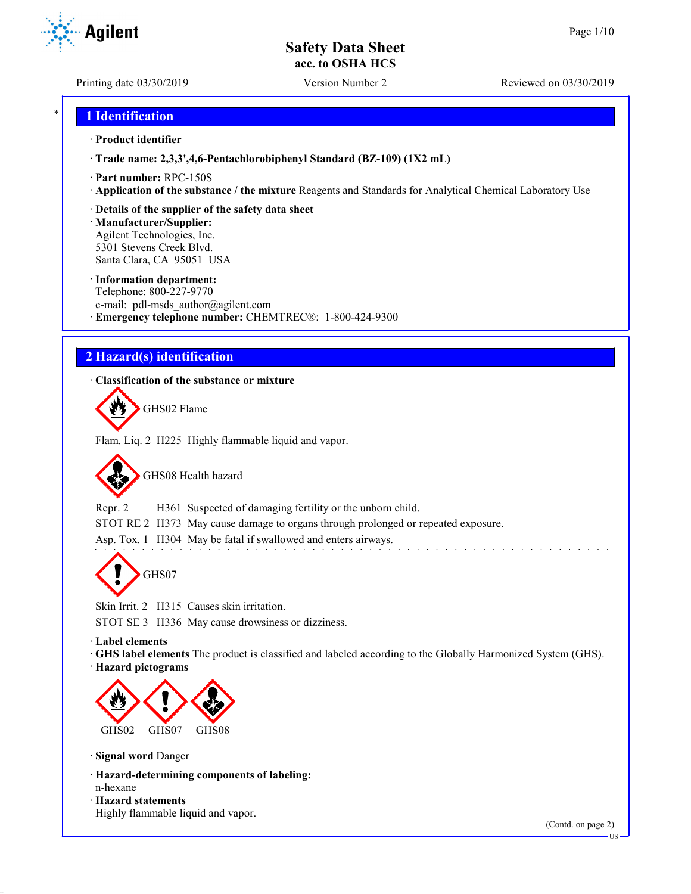Printing date 03/30/2019 Version Number 2 Reviewed on 03/30/2019

**Agilent** 

# \* **1 Identification**

### · **Product identifier**

· **Trade name: 2,3,3',4,6-Pentachlorobiphenyl Standard (BZ-109) (1X2 mL)**

- · **Part number:** RPC-150S
- · **Application of the substance / the mixture** Reagents and Standards for Analytical Chemical Laboratory Use

## · **Details of the supplier of the safety data sheet**

· **Manufacturer/Supplier:** Agilent Technologies, Inc. 5301 Stevens Creek Blvd. Santa Clara, CA 95051 USA

### · **Information department:**

Telephone: 800-227-9770 e-mail: pdl-msds author@agilent.com · **Emergency telephone number:** CHEMTREC®: 1-800-424-9300

# **2 Hazard(s) identification**

## · **Classification of the substance or mixture**

GHS02 Flame

Flam. Liq. 2 H225 Highly flammable liquid and vapor.

GHS08 Health hazard

Repr. 2 H361 Suspected of damaging fertility or the unborn child.

STOT RE 2 H373 May cause damage to organs through prolonged or repeated exposure.

Asp. Tox. 1 H304 May be fatal if swallowed and enters airways.

GHS07

Skin Irrit. 2 H315 Causes skin irritation.

STOT SE 3 H336 May cause drowsiness or dizziness.

· **Label elements**

· **GHS label elements** The product is classified and labeled according to the Globally Harmonized System (GHS).

· **Hazard pictograms**



· **Signal word** Danger

- · **Hazard-determining components of labeling:** n-hexane
- · **Hazard statements**
- Highly flammable liquid and vapor.

(Contd. on page 2)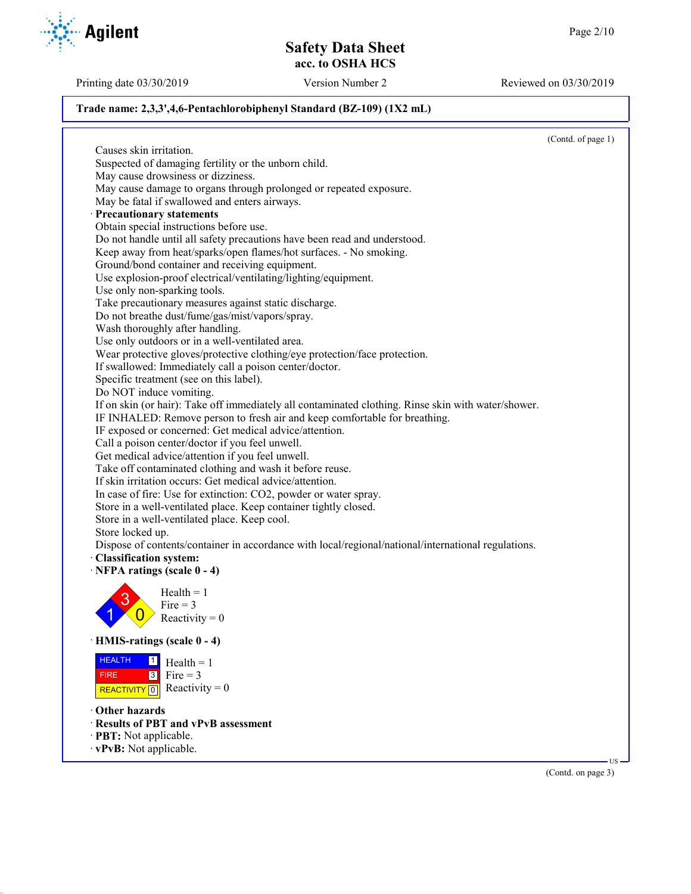Printing date 03/30/2019 Version Number 2 Reviewed on 03/30/2019

## **Trade name: 2,3,3',4,6-Pentachlorobiphenyl Standard (BZ-109) (1X2 mL)**

(Contd. of page 1) Causes skin irritation. Suspected of damaging fertility or the unborn child. May cause drowsiness or dizziness. May cause damage to organs through prolonged or repeated exposure. May be fatal if swallowed and enters airways. · **Precautionary statements** Obtain special instructions before use. Do not handle until all safety precautions have been read and understood. Keep away from heat/sparks/open flames/hot surfaces. - No smoking. Ground/bond container and receiving equipment. Use explosion-proof electrical/ventilating/lighting/equipment. Use only non-sparking tools. Take precautionary measures against static discharge. Do not breathe dust/fume/gas/mist/vapors/spray. Wash thoroughly after handling. Use only outdoors or in a well-ventilated area. Wear protective gloves/protective clothing/eye protection/face protection. If swallowed: Immediately call a poison center/doctor. Specific treatment (see on this label). Do NOT induce vomiting. If on skin (or hair): Take off immediately all contaminated clothing. Rinse skin with water/shower. IF INHALED: Remove person to fresh air and keep comfortable for breathing. IF exposed or concerned: Get medical advice/attention. Call a poison center/doctor if you feel unwell. Get medical advice/attention if you feel unwell. Take off contaminated clothing and wash it before reuse. If skin irritation occurs: Get medical advice/attention. In case of fire: Use for extinction: CO2, powder or water spray. Store in a well-ventilated place. Keep container tightly closed. Store in a well-ventilated place. Keep cool. Store locked up. Dispose of contents/container in accordance with local/regional/national/international regulations. · **Classification system:** · **NFPA ratings (scale 0 - 4)** 1 3  $\overline{0}$  $Health = 1$ Fire  $= 3$ Reactivity  $= 0$ · **HMIS-ratings (scale 0 - 4)** HEALTH FIRE REACTIVITY  $\boxed{0}$  Reactivity = 0  $\frac{1}{\Box}$  Health = 1  $3$  Fire = 3 · **Other hazards** · **Results of PBT and vPvB assessment** · **PBT:** Not applicable. · **vPvB:** Not applicable. US



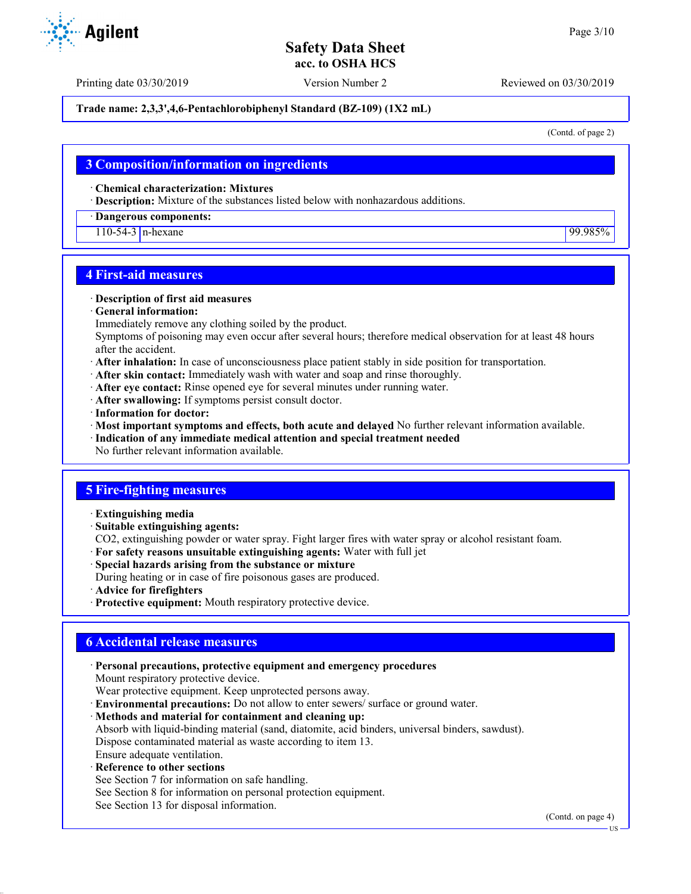Printing date 03/30/2019 Version Number 2 Reviewed on 03/30/2019

## **Trade name: 2,3,3',4,6-Pentachlorobiphenyl Standard (BZ-109) (1X2 mL)**

(Contd. of page 2)

## **3 Composition/information on ingredients**

· **Chemical characterization: Mixtures**

· **Description:** Mixture of the substances listed below with nonhazardous additions.

#### · **Dangerous components:**

110-54-3 n-hexane 99.985%

## **4 First-aid measures**

#### · **Description of first aid measures**

· **General information:**

Immediately remove any clothing soiled by the product.

Symptoms of poisoning may even occur after several hours; therefore medical observation for at least 48 hours after the accident.

- · **After inhalation:** In case of unconsciousness place patient stably in side position for transportation.
- · **After skin contact:** Immediately wash with water and soap and rinse thoroughly.
- · **After eye contact:** Rinse opened eye for several minutes under running water.
- · **After swallowing:** If symptoms persist consult doctor.
- · **Information for doctor:**
- · **Most important symptoms and effects, both acute and delayed** No further relevant information available.
- · **Indication of any immediate medical attention and special treatment needed**
- No further relevant information available.

# **5 Fire-fighting measures**

- · **Extinguishing media**
- · **Suitable extinguishing agents:**
- CO2, extinguishing powder or water spray. Fight larger fires with water spray or alcohol resistant foam.
- · **For safety reasons unsuitable extinguishing agents:** Water with full jet
- · **Special hazards arising from the substance or mixture**
- During heating or in case of fire poisonous gases are produced.
- · **Advice for firefighters**
- · **Protective equipment:** Mouth respiratory protective device.

# **6 Accidental release measures**

· **Personal precautions, protective equipment and emergency procedures** Mount respiratory protective device. Wear protective equipment. Keep unprotected persons away. · **Environmental precautions:** Do not allow to enter sewers/ surface or ground water. · **Methods and material for containment and cleaning up:** Absorb with liquid-binding material (sand, diatomite, acid binders, universal binders, sawdust). Dispose contaminated material as waste according to item 13. Ensure adequate ventilation. **Reference to other sections** See Section 7 for information on safe handling.

See Section 8 for information on personal protection equipment.

See Section 13 for disposal information.

(Contd. on page 4)





US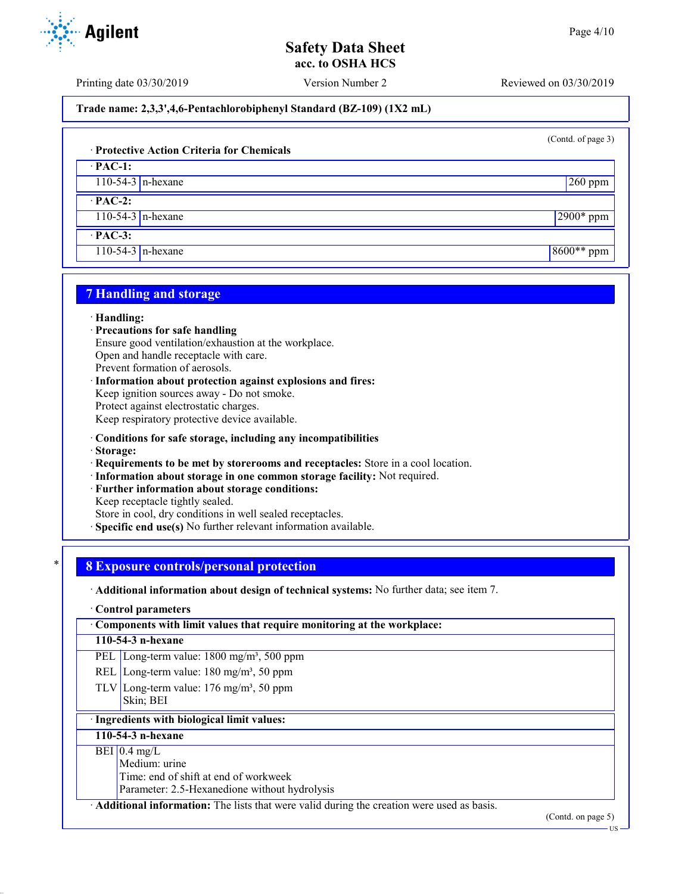Printing date 03/30/2019 Version Number 2 Reviewed on 03/30/2019

**Trade name: 2,3,3',4,6-Pentachlorobiphenyl Standard (BZ-109) (1X2 mL)**

(Contd. of page 3)

## · **Protective Action Criteria for Chemicals**

· **PAC-1:** 110-54-3 n-hexane 260 ppm

· **PAC-2:**

110-54-3 n-hexane 2900\* ppm

· **PAC-3:**

110-54-3 n-hexane 8600<sup>\*\*</sup> ppm

# **7 Handling and storage**

### · **Handling:**

- · **Precautions for safe handling**
- Ensure good ventilation/exhaustion at the workplace.

Open and handle receptacle with care.

Prevent formation of aerosols.

· **Information about protection against explosions and fires:** Keep ignition sources away - Do not smoke. Protect against electrostatic charges. Keep respiratory protective device available.

- · **Conditions for safe storage, including any incompatibilities**
- · **Storage:**
- · **Requirements to be met by storerooms and receptacles:** Store in a cool location.
- · **Information about storage in one common storage facility:** Not required.
- Further information about storage conditions:
- Keep receptacle tightly sealed.

Store in cool, dry conditions in well sealed receptacles.

**Specific end use(s)** No further relevant information available.

# \* **8 Exposure controls/personal protection**

· **Additional information about design of technical systems:** No further data; see item 7.

#### · **Control parameters**

· **Components with limit values that require monitoring at the workplace:**

## **110-54-3 n-hexane**

PEL Long-term value: 1800 mg/m<sup>3</sup>, 500 ppm

- REL Long-term value:  $180 \text{ mg/m}^3$ , 50 ppm
- TLV Long-term value:  $176 \text{ mg/m}^3$ , 50 ppm Skin; BEI

# · **Ingredients with biological limit values:**

# **110-54-3 n-hexane**

## $BEI$  0.4 mg/L

Medium: urine

Time: end of shift at end of workweek

Parameter: 2.5-Hexanedione without hydrolysis

· **Additional information:** The lists that were valid during the creation were used as basis.

(Contd. on page 5)



US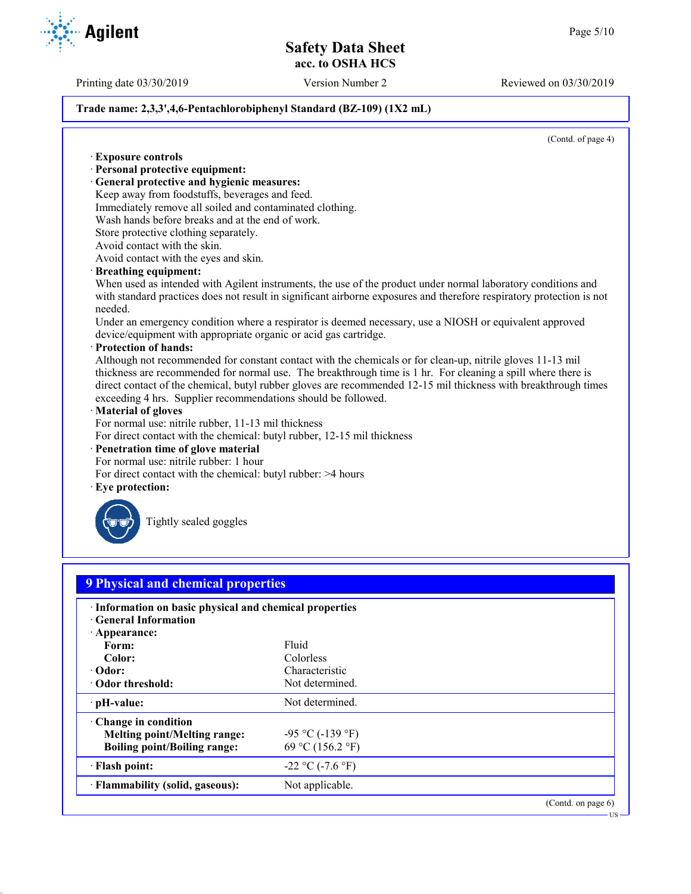Printing date 03/30/2019 Version Number 2 Reviewed on 03/30/2019

## **Trade name: 2,3,3',4,6-Pentachlorobiphenyl Standard (BZ-109) (1X2 mL)**

(Contd. of page 4)

· **Exposure controls** · **Personal protective equipment:** · **General protective and hygienic measures:** Keep away from foodstuffs, beverages and feed. Immediately remove all soiled and contaminated clothing. Wash hands before breaks and at the end of work. Store protective clothing separately. Avoid contact with the skin. Avoid contact with the eyes and skin. · **Breathing equipment:** When used as intended with Agilent instruments, the use of the product under normal laboratory conditions and with standard practices does not result in significant airborne exposures and therefore respiratory protection is not needed. Under an emergency condition where a respirator is deemed necessary, use a NIOSH or equivalent approved device/equipment with appropriate organic or acid gas cartridge. · **Protection of hands:** Although not recommended for constant contact with the chemicals or for clean-up, nitrile gloves 11-13 mil thickness are recommended for normal use. The breakthrough time is 1 hr. For cleaning a spill where there is direct contact of the chemical, butyl rubber gloves are recommended 12-15 mil thickness with breakthrough times exceeding 4 hrs. Supplier recommendations should be followed. · **Material of gloves** For normal use: nitrile rubber, 11-13 mil thickness For direct contact with the chemical: butyl rubber, 12-15 mil thickness · **Penetration time of glove material** For normal use: nitrile rubber: 1 hour For direct contact with the chemical: butyl rubber: >4 hours Eye protection: Tightly sealed goggles **9 Physical and chemical properties** · **Information on basic physical and chemical properties** · **General Information** · **Appearance:** Form: Fluid **Color:** Colorless **· Odor:** Characteristic Characteristic Characteristic Characteristic Characteristic Characteristic Characteristic Characteristic Characteristic Characteristic Characteristic Characteristic Characteristic Characteristic Ch **· Odor threshold: PH-value:** Not determined. · **Change in condition Melting point/Melting range:**  $-95 \degree C (-139 \degree F)$ **Boiling point/Boiling range:** 69 °C (156.2 °F)  $\cdot$  **Flash point:**  $-22 \degree C (-7.6 \degree F)$ **Flammability (solid, gaseous):** Not applicable. (Contd. on page 6) US

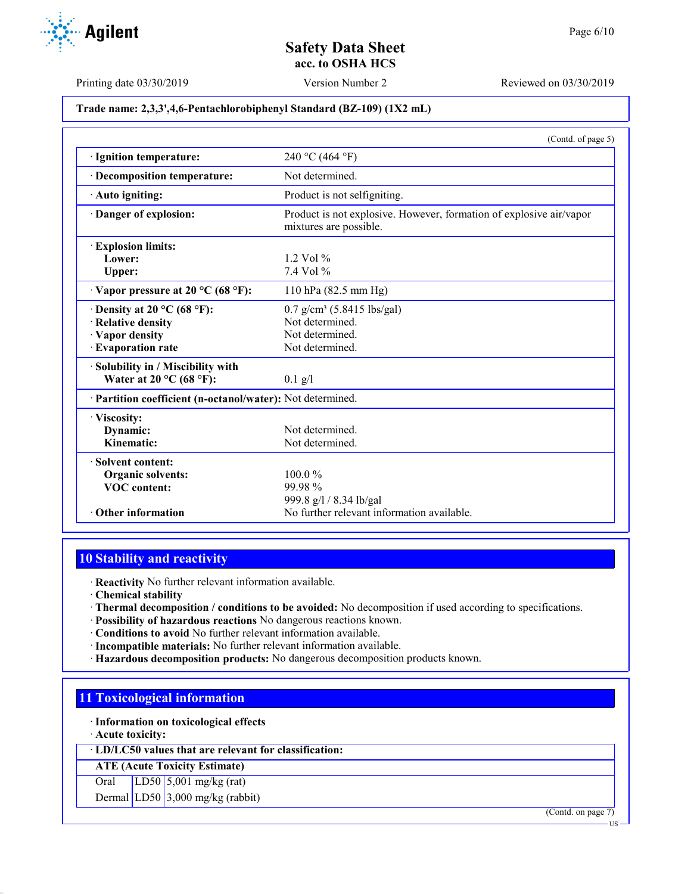Printing date 03/30/2019 Version Number 2 Reviewed on 03/30/2019

## **Trade name: 2,3,3',4,6-Pentachlorobiphenyl Standard (BZ-109) (1X2 mL)**

|                                                            | (Contd. of page 5)                                                                            |
|------------------------------------------------------------|-----------------------------------------------------------------------------------------------|
| · Ignition temperature:                                    | 240 °C (464 °F)                                                                               |
| · Decomposition temperature:                               | Not determined                                                                                |
| Auto igniting:                                             | Product is not selfigniting.                                                                  |
| Danger of explosion:                                       | Product is not explosive. However, formation of explosive air/vapor<br>mixtures are possible. |
| <b>Explosion limits:</b>                                   |                                                                                               |
| Lower:                                                     | $1.2$ Vol $%$                                                                                 |
| Upper:                                                     | $7.4$ Vol $%$                                                                                 |
| $\cdot$ Vapor pressure at 20 °C (68 °F):                   | 110 hPa (82.5 mm Hg)                                                                          |
| $\cdot$ Density at 20 °C (68 °F):                          | $0.7$ g/cm <sup>3</sup> (5.8415 lbs/gal)                                                      |
| · Relative density                                         | Not determined.                                                                               |
| · Vapor density                                            | Not determined.                                                                               |
| · Evaporation rate                                         | Not determined.                                                                               |
| Solubility in / Miscibility with                           |                                                                                               |
| Water at 20 $^{\circ}$ C (68 $^{\circ}$ F):                | $0.1$ g/l                                                                                     |
| · Partition coefficient (n-octanol/water): Not determined. |                                                                                               |
| · Viscosity:                                               |                                                                                               |
| Dynamic:                                                   | Not determined                                                                                |
| Kinematic:                                                 | Not determined.                                                                               |
| Solvent content:                                           |                                                                                               |
| <b>Organic solvents:</b>                                   | $100.0\%$                                                                                     |
| <b>VOC</b> content:                                        | 99.98%                                                                                        |
|                                                            | 999.8 g/l / 8.34 lb/gal                                                                       |
| • Other information                                        | No further relevant information available.                                                    |

# **10 Stability and reactivity**

· **Reactivity** No further relevant information available.

· **Chemical stability**

- · **Thermal decomposition / conditions to be avoided:** No decomposition if used according to specifications.
- · **Possibility of hazardous reactions** No dangerous reactions known.
- · **Conditions to avoid** No further relevant information available.
- · **Incompatible materials:** No further relevant information available.
- · **Hazardous decomposition products:** No dangerous decomposition products known.

# **11 Toxicological information**

· **Information on toxicological effects**

· **Acute toxicity:**

· **LD/LC50 values that are relevant for classification:**

**ATE (Acute Toxicity Estimate)**

Oral LD50 5,001 mg/kg (rat)

Dermal LD50 3,000 mg/kg (rabbit)

(Contd. on page 7)



US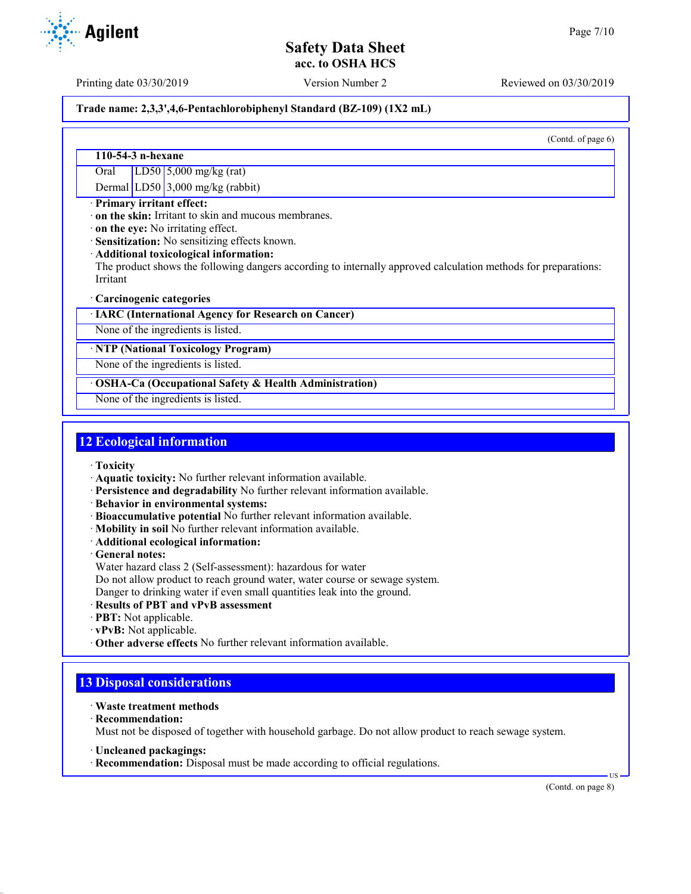Printing date 03/30/2019 Version Number 2 Reviewed on 03/30/2019

## **Trade name: 2,3,3',4,6-Pentachlorobiphenyl Standard (BZ-109) (1X2 mL)**

(Contd. of page 6)

## **110-54-3 n-hexane**

Oral LD50 5,000 mg/kg (rat)

Dermal LD50 3,000 mg/kg (rabbit)

## · **Primary irritant effect:**

· **on the skin:** Irritant to skin and mucous membranes.

· **on the eye:** No irritating effect.

· **Sensitization:** No sensitizing effects known.

· **Additional toxicological information:**

The product shows the following dangers according to internally approved calculation methods for preparations: Irritant

### · **Carcinogenic categories**

· **IARC (International Agency for Research on Cancer)**

None of the ingredients is listed.

## · **NTP (National Toxicology Program)**

None of the ingredients is listed.

## · **OSHA-Ca (Occupational Safety & Health Administration)**

None of the ingredients is listed.

# **12 Ecological information**

- · **Toxicity**
- · **Aquatic toxicity:** No further relevant information available.
- · **Persistence and degradability** No further relevant information available.
- · **Behavior in environmental systems:**
- · **Bioaccumulative potential** No further relevant information available.
- · **Mobility in soil** No further relevant information available.
- · **Additional ecological information:**
- · **General notes:**
- Water hazard class 2 (Self-assessment): hazardous for water
- Do not allow product to reach ground water, water course or sewage system.

Danger to drinking water if even small quantities leak into the ground.

- · **Results of PBT and vPvB assessment**
- · **PBT:** Not applicable.
- · **vPvB:** Not applicable.
- · **Other adverse effects** No further relevant information available.

# **13 Disposal considerations**

- · **Waste treatment methods**
- · **Recommendation:**

Must not be disposed of together with household garbage. Do not allow product to reach sewage system.

- · **Uncleaned packagings:**
- · **Recommendation:** Disposal must be made according to official regulations.

(Contd. on page 8)

US

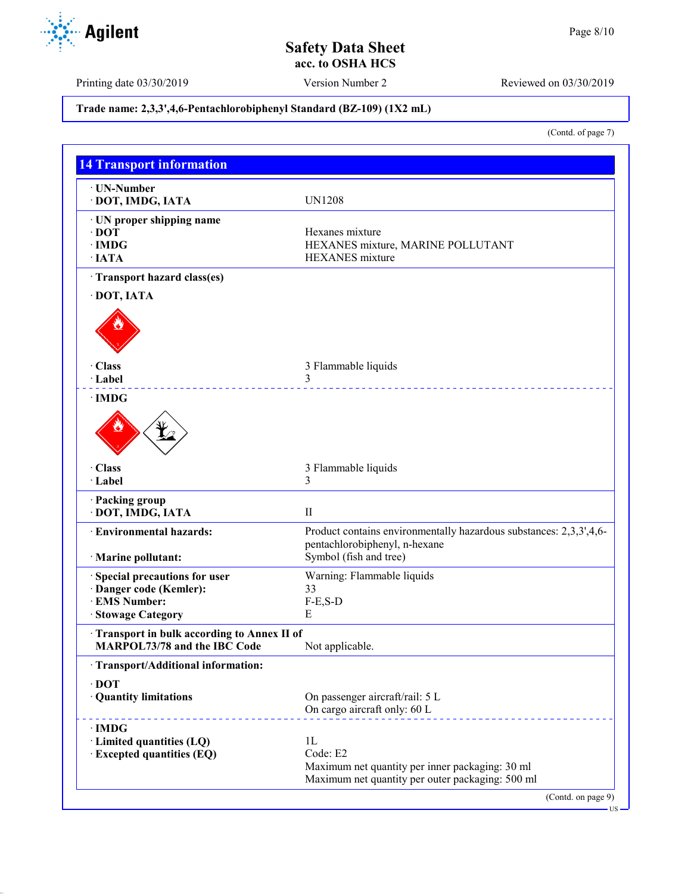Printing date 03/30/2019 Version Number 2 Reviewed on 03/30/2019

# **Trade name: 2,3,3',4,6-Pentachlorobiphenyl Standard (BZ-109) (1X2 mL)**

(Contd. of page 7)

| · UN-Number                                                                |                                                                                                     |
|----------------------------------------------------------------------------|-----------------------------------------------------------------------------------------------------|
| DOT, IMDG, IATA                                                            | <b>UN1208</b>                                                                                       |
| · UN proper shipping name                                                  |                                                                                                     |
| $\cdot$ DOT                                                                | Hexanes mixture                                                                                     |
| $\cdot$ IMDG                                                               | HEXANES mixture, MARINE POLLUTANT                                                                   |
| $·$ <b>IATA</b>                                                            | <b>HEXANES</b> mixture                                                                              |
| · Transport hazard class(es)                                               |                                                                                                     |
| DOT, IATA                                                                  |                                                                                                     |
|                                                                            |                                                                                                     |
| · Class                                                                    | 3 Flammable liquids                                                                                 |
| · Label                                                                    | 3                                                                                                   |
| · IMDG                                                                     |                                                                                                     |
| · Class                                                                    | 3 Flammable liquids                                                                                 |
| · Label                                                                    | 3                                                                                                   |
| · Packing group<br>· DOT, IMDG, IATA                                       | $\mathbf{I}$                                                                                        |
| <b>Environmental hazards:</b>                                              | Product contains environmentally hazardous substances: 2,3,3',4,6-<br>pentachlorobiphenyl, n-hexane |
| · Marine pollutant:                                                        | Symbol (fish and tree)                                                                              |
| · Special precautions for user                                             | Warning: Flammable liquids                                                                          |
| Danger code (Kemler):                                                      | 33                                                                                                  |
| · EMS Number:                                                              | $F-E, S-D$                                                                                          |
| · Stowage Category                                                         | E                                                                                                   |
| Transport in bulk according to Annex II of<br>MARPOL73/78 and the IBC Code | Not applicable.                                                                                     |
| · Transport/Additional information:                                        |                                                                                                     |
| $\cdot$ DOT                                                                |                                                                                                     |
| · Quantity limitations                                                     | On passenger aircraft/rail: 5 L<br>On cargo aircraft only: 60 L                                     |
| $\cdot$ IMDG                                                               |                                                                                                     |
| · Limited quantities (LQ)                                                  | 1 <sub>L</sub>                                                                                      |
| <b>Excepted quantities (EQ)</b>                                            | Code: E2                                                                                            |
|                                                                            | Maximum net quantity per inner packaging: 30 ml                                                     |
|                                                                            | Maximum net quantity per outer packaging: 500 ml                                                    |

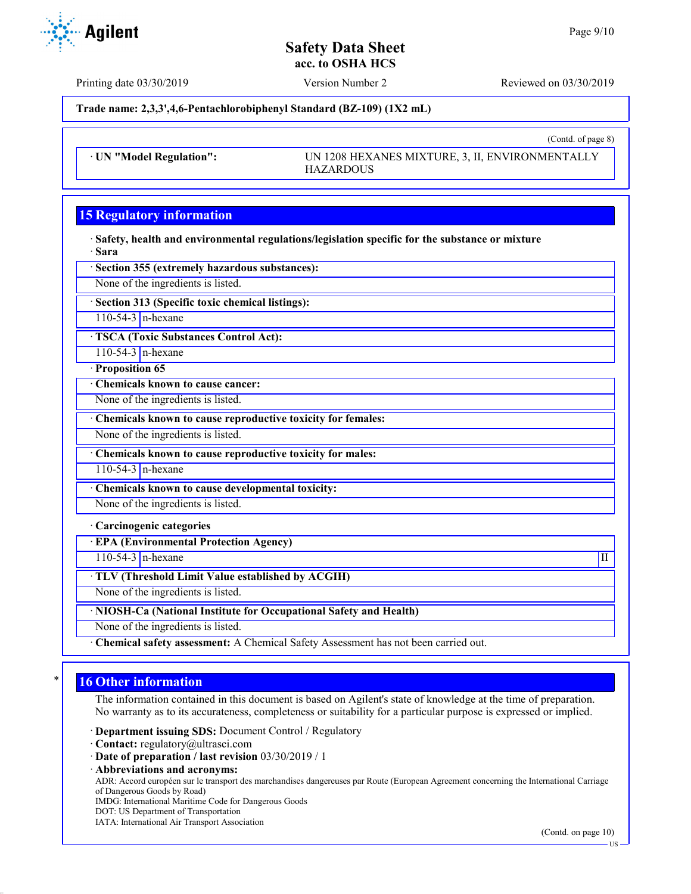(Contd. of page 8)

# **Safety Data Sheet acc. to OSHA HCS**

Printing date 03/30/2019 Version Number 2 Reviewed on 03/30/2019

**Trade name: 2,3,3',4,6-Pentachlorobiphenyl Standard (BZ-109) (1X2 mL)**

· **UN "Model Regulation":** UN 1208 HEXANES MIXTURE, 3, II, ENVIRONMENTALLY HAZARDOUS

# **15 Regulatory information**

· **Safety, health and environmental regulations/legislation specific for the substance or mixture** · **Sara**

· **Section 355 (extremely hazardous substances):**

None of the ingredients is listed.

· **Section 313 (Specific toxic chemical listings):**

110-54-3  $n$ -hexane

· **TSCA (Toxic Substances Control Act):**

110-54-3 n-hexane

· **Proposition 65**

· **Chemicals known to cause cancer:**

None of the ingredients is listed.

· **Chemicals known to cause reproductive toxicity for females:**

None of the ingredients is listed.

· **Chemicals known to cause reproductive toxicity for males:**

110-54-3 n-hexane

· **Chemicals known to cause developmental toxicity:**

None of the ingredients is listed.

· **Carcinogenic categories**

· **EPA (Environmental Protection Agency)**

 $110-54-3$  n-hexane III

· **TLV (Threshold Limit Value established by ACGIH)**

None of the ingredients is listed.

· **NIOSH-Ca (National Institute for Occupational Safety and Health)**

None of the ingredients is listed.

· **Chemical safety assessment:** A Chemical Safety Assessment has not been carried out.

# **16 Other information**

The information contained in this document is based on Agilent's state of knowledge at the time of preparation. No warranty as to its accurateness, completeness or suitability for a particular purpose is expressed or implied.

· **Department issuing SDS:** Document Control / Regulatory

- · **Contact:** regulatory@ultrasci.com
- · **Date of preparation / last revision** 03/30/2019 / 1
- · **Abbreviations and acronyms:**

ADR: Accord européen sur le transport des marchandises dangereuses par Route (European Agreement concerning the International Carriage of Dangerous Goods by Road)

IMDG: International Maritime Code for Dangerous Goods

- DOT: US Department of Transportation
- IATA: International Air Transport Association

(Contd. on page 10)